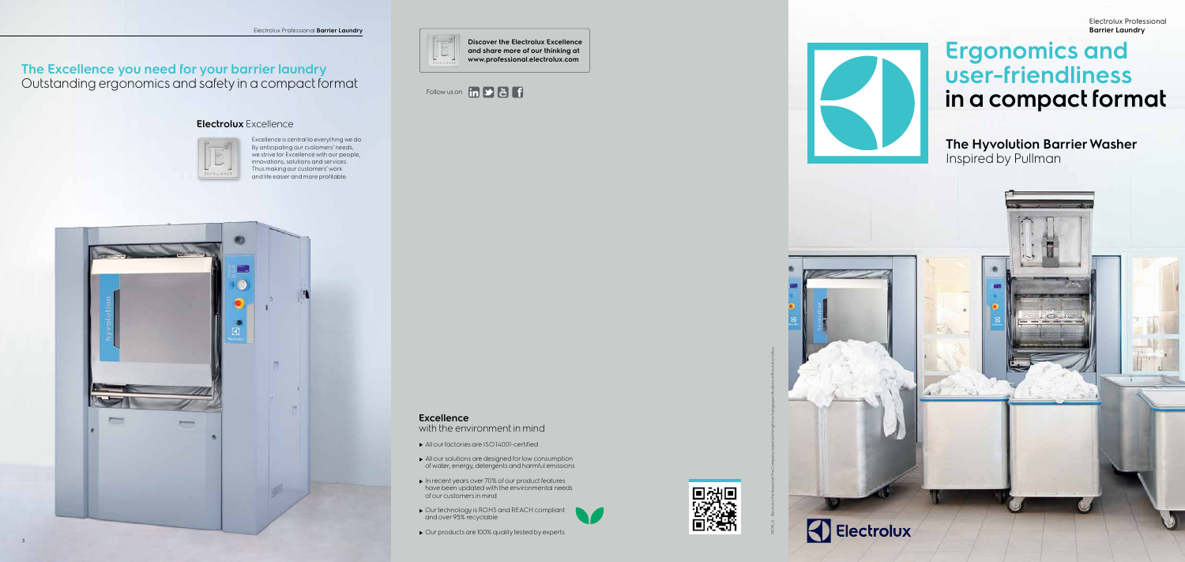# **Ergonomics and user-friendliness in a compact format**

**The Hyvolution Barrier Washer** Inspired by Pullman



011015. A - Electrolux Professional The Company reserves the right to change specifications without any notice.



- All our factories are ISO 14001-certified
- All our solutions are designed for low consumption of water, energy, detergents and harmful emissions
- ▶ In recent years over 70% of our product features have been updated with the environmental needs of our customers in mind
- $\triangleright$  Our technology is ROHS and REACH compliant and over 95% recyclable



▶ Our products are 100% quality tested by experts

**Discover the Electrolux Excellence and share more of our thinking at www.professional.electrolux.com**

Follow us on  $\ln \sum$  **M** f



## **Excellence** with the environment in mind

Electrolux Professional **Barrier Laundry**



# **The Excellence you need for your barrier laundry** Outstanding ergonomics and safety in a compact format

### **Electrolux** Excellence



Excellence is central to everything we do. By anticipating our customers' needs, we strive for Excellence with our people, innovations, solutions and services. Thus making our customers' work and life easier and more profitable.